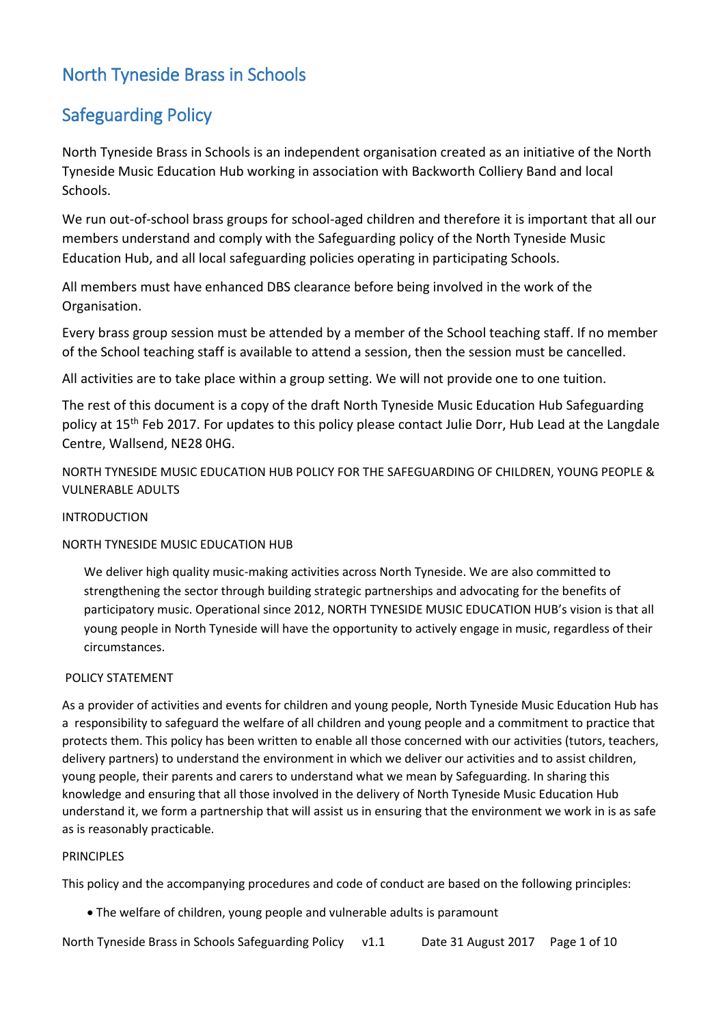# North Tyneside Brass in Schools

# Safeguarding Policy

North Tyneside Brass in Schools is an independent organisation created as an initiative of the North Tyneside Music Education Hub working in association with Backworth Colliery Band and local Schools.

We run out-of-school brass groups for school-aged children and therefore it is important that all our members understand and comply with the Safeguarding policy of the North Tyneside Music Education Hub, and all local safeguarding policies operating in participating Schools.

All members must have enhanced DBS clearance before being involved in the work of the Organisation.

Every brass group session must be attended by a member of the School teaching staff. If no member of the School teaching staff is available to attend a session, then the session must be cancelled.

All activities are to take place within a group setting. We will not provide one to one tuition.

The rest of this document is a copy of the draft North Tyneside Music Education Hub Safeguarding policy at 15<sup>th</sup> Feb 2017. For updates to this policy please contact Julie Dorr, Hub Lead at the Langdale Centre, Wallsend, NE28 0HG.

NORTH TYNESIDE MUSIC EDUCATION HUB POLICY FOR THE SAFEGUARDING OF CHILDREN, YOUNG PEOPLE & VULNERABLE ADULTS

### INTRODUCTION

## NORTH TYNESIDE MUSIC EDUCATION HUB

We deliver high quality music-making activities across North Tyneside. We are also committed to strengthening the sector through building strategic partnerships and advocating for the benefits of participatory music. Operational since 2012, NORTH TYNESIDE MUSIC EDUCATION HUB's vision is that all young people in North Tyneside will have the opportunity to actively engage in music, regardless of their circumstances.

#### POLICY STATEMENT

As a provider of activities and events for children and young people, North Tyneside Music Education Hub has a responsibility to safeguard the welfare of all children and young people and a commitment to practice that protects them. This policy has been written to enable all those concerned with our activities (tutors, teachers, delivery partners) to understand the environment in which we deliver our activities and to assist children, young people, their parents and carers to understand what we mean by Safeguarding. In sharing this knowledge and ensuring that all those involved in the delivery of North Tyneside Music Education Hub understand it, we form a partnership that will assist us in ensuring that the environment we work in is as safe as is reasonably practicable.

#### **PRINCIPLES**

This policy and the accompanying procedures and code of conduct are based on the following principles:

The welfare of children, young people and vulnerable adults is paramount

North Tyneside Brass in Schools Safeguarding Policy v1.1 Date 31 August 2017 Page 1 of 10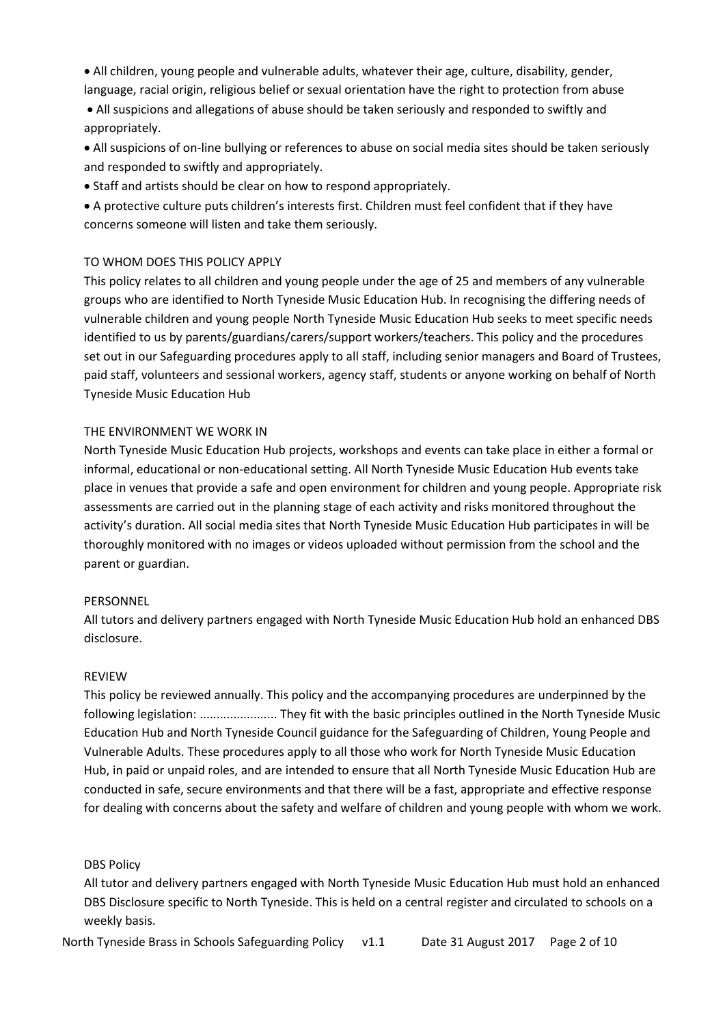All children, young people and vulnerable adults, whatever their age, culture, disability, gender, language, racial origin, religious belief or sexual orientation have the right to protection from abuse

 All suspicions and allegations of abuse should be taken seriously and responded to swiftly and appropriately.

 All suspicions of on-line bullying or references to abuse on social media sites should be taken seriously and responded to swiftly and appropriately.

Staff and artists should be clear on how to respond appropriately.

 A protective culture puts children's interests first. Children must feel confident that if they have concerns someone will listen and take them seriously.

## TO WHOM DOES THIS POLICY APPLY

This policy relates to all children and young people under the age of 25 and members of any vulnerable groups who are identified to North Tyneside Music Education Hub. In recognising the differing needs of vulnerable children and young people North Tyneside Music Education Hub seeks to meet specific needs identified to us by parents/guardians/carers/support workers/teachers. This policy and the procedures set out in our Safeguarding procedures apply to all staff, including senior managers and Board of Trustees, paid staff, volunteers and sessional workers, agency staff, students or anyone working on behalf of North Tyneside Music Education Hub

## THE ENVIRONMENT WE WORK IN

North Tyneside Music Education Hub projects, workshops and events can take place in either a formal or informal, educational or non-educational setting. All North Tyneside Music Education Hub events take place in venues that provide a safe and open environment for children and young people. Appropriate risk assessments are carried out in the planning stage of each activity and risks monitored throughout the activity's duration. All social media sites that North Tyneside Music Education Hub participates in will be thoroughly monitored with no images or videos uploaded without permission from the school and the parent or guardian.

## PERSONNEL

All tutors and delivery partners engaged with North Tyneside Music Education Hub hold an enhanced DBS disclosure.

## REVIEW

This policy be reviewed annually. This policy and the accompanying procedures are underpinned by the following legislation: ......................... They fit with the basic principles outlined in the North Tyneside Music Education Hub and North Tyneside Council guidance for the Safeguarding of Children, Young People and Vulnerable Adults. These procedures apply to all those who work for North Tyneside Music Education Hub, in paid or unpaid roles, and are intended to ensure that all North Tyneside Music Education Hub are conducted in safe, secure environments and that there will be a fast, appropriate and effective response for dealing with concerns about the safety and welfare of children and young people with whom we work.

## DBS Policy

All tutor and delivery partners engaged with North Tyneside Music Education Hub must hold an enhanced DBS Disclosure specific to North Tyneside. This is held on a central register and circulated to schools on a weekly basis.

North Tyneside Brass in Schools Safeguarding Policy v1.1 Date 31 August 2017 Page 2 of 10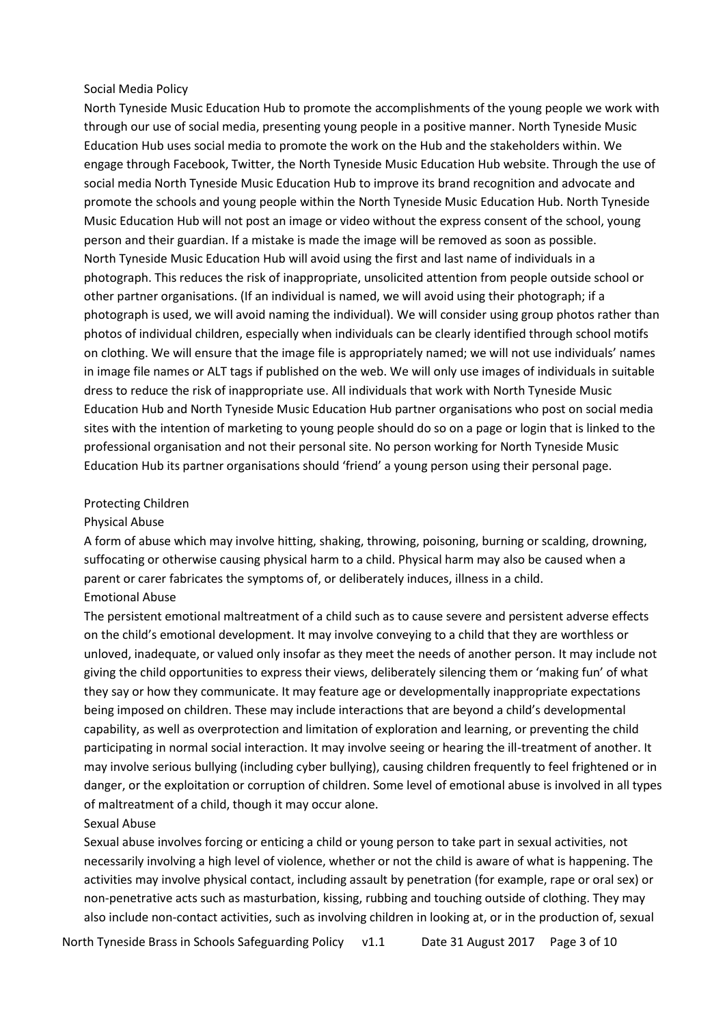#### Social Media Policy

North Tyneside Music Education Hub to promote the accomplishments of the young people we work with through our use of social media, presenting young people in a positive manner. North Tyneside Music Education Hub uses social media to promote the work on the Hub and the stakeholders within. We engage through Facebook, Twitter, the North Tyneside Music Education Hub website. Through the use of social media North Tyneside Music Education Hub to improve its brand recognition and advocate and promote the schools and young people within the North Tyneside Music Education Hub. North Tyneside Music Education Hub will not post an image or video without the express consent of the school, young person and their guardian. If a mistake is made the image will be removed as soon as possible. North Tyneside Music Education Hub will avoid using the first and last name of individuals in a photograph. This reduces the risk of inappropriate, unsolicited attention from people outside school or other partner organisations. (If an individual is named, we will avoid using their photograph; if a photograph is used, we will avoid naming the individual). We will consider using group photos rather than photos of individual children, especially when individuals can be clearly identified through school motifs on clothing. We will ensure that the image file is appropriately named; we will not use individuals' names in image file names or ALT tags if published on the web. We will only use images of individuals in suitable dress to reduce the risk of inappropriate use. All individuals that work with North Tyneside Music Education Hub and North Tyneside Music Education Hub partner organisations who post on social media sites with the intention of marketing to young people should do so on a page or login that is linked to the professional organisation and not their personal site. No person working for North Tyneside Music Education Hub its partner organisations should 'friend' a young person using their personal page.

#### Protecting Children

#### Physical Abuse

A form of abuse which may involve hitting, shaking, throwing, poisoning, burning or scalding, drowning, suffocating or otherwise causing physical harm to a child. Physical harm may also be caused when a parent or carer fabricates the symptoms of, or deliberately induces, illness in a child. Emotional Abuse

The persistent emotional maltreatment of a child such as to cause severe and persistent adverse effects on the child's emotional development. It may involve conveying to a child that they are worthless or unloved, inadequate, or valued only insofar as they meet the needs of another person. It may include not giving the child opportunities to express their views, deliberately silencing them or 'making fun' of what they say or how they communicate. It may feature age or developmentally inappropriate expectations being imposed on children. These may include interactions that are beyond a child's developmental capability, as well as overprotection and limitation of exploration and learning, or preventing the child participating in normal social interaction. It may involve seeing or hearing the ill-treatment of another. It may involve serious bullying (including cyber bullying), causing children frequently to feel frightened or in danger, or the exploitation or corruption of children. Some level of emotional abuse is involved in all types of maltreatment of a child, though it may occur alone.

#### Sexual Abuse

Sexual abuse involves forcing or enticing a child or young person to take part in sexual activities, not necessarily involving a high level of violence, whether or not the child is aware of what is happening. The activities may involve physical contact, including assault by penetration (for example, rape or oral sex) or non-penetrative acts such as masturbation, kissing, rubbing and touching outside of clothing. They may also include non-contact activities, such as involving children in looking at, or in the production of, sexual

North Tyneside Brass in Schools Safeguarding Policy v1.1 Date 31 August 2017 Page 3 of 10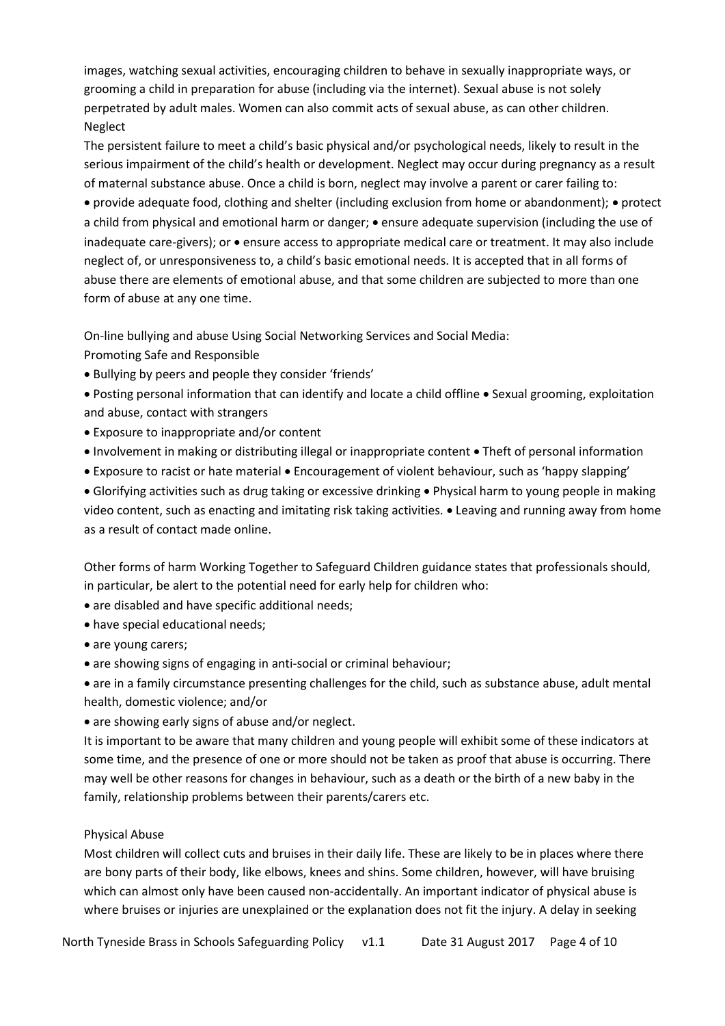images, watching sexual activities, encouraging children to behave in sexually inappropriate ways, or grooming a child in preparation for abuse (including via the internet). Sexual abuse is not solely perpetrated by adult males. Women can also commit acts of sexual abuse, as can other children. Neglect

The persistent failure to meet a child's basic physical and/or psychological needs, likely to result in the serious impairment of the child's health or development. Neglect may occur during pregnancy as a result of maternal substance abuse. Once a child is born, neglect may involve a parent or carer failing to: • provide adequate food, clothing and shelter (including exclusion from home or abandonment); • protect a child from physical and emotional harm or danger; • ensure adequate supervision (including the use of inadequate care-givers); or ensure access to appropriate medical care or treatment. It may also include neglect of, or unresponsiveness to, a child's basic emotional needs. It is accepted that in all forms of abuse there are elements of emotional abuse, and that some children are subjected to more than one form of abuse at any one time.

On-line bullying and abuse Using Social Networking Services and Social Media:

Promoting Safe and Responsible

- Bullying by peers and people they consider 'friends'
- Posting personal information that can identify and locate a child offline Sexual grooming, exploitation and abuse, contact with strangers
- Exposure to inappropriate and/or content
- Involvement in making or distributing illegal or inappropriate content Theft of personal information
- Exposure to racist or hate material Encouragement of violent behaviour, such as 'happy slapping'

 Glorifying activities such as drug taking or excessive drinking Physical harm to young people in making video content, such as enacting and imitating risk taking activities.  $\bullet$  Leaving and running away from home as a result of contact made online.

Other forms of harm Working Together to Safeguard Children guidance states that professionals should, in particular, be alert to the potential need for early help for children who:

- are disabled and have specific additional needs;
- have special educational needs;
- are young carers;
- are showing signs of engaging in anti-social or criminal behaviour;

 are in a family circumstance presenting challenges for the child, such as substance abuse, adult mental health, domestic violence; and/or

• are showing early signs of abuse and/or neglect.

It is important to be aware that many children and young people will exhibit some of these indicators at some time, and the presence of one or more should not be taken as proof that abuse is occurring. There may well be other reasons for changes in behaviour, such as a death or the birth of a new baby in the family, relationship problems between their parents/carers etc.

## Physical Abuse

Most children will collect cuts and bruises in their daily life. These are likely to be in places where there are bony parts of their body, like elbows, knees and shins. Some children, however, will have bruising which can almost only have been caused non-accidentally. An important indicator of physical abuse is where bruises or injuries are unexplained or the explanation does not fit the injury. A delay in seeking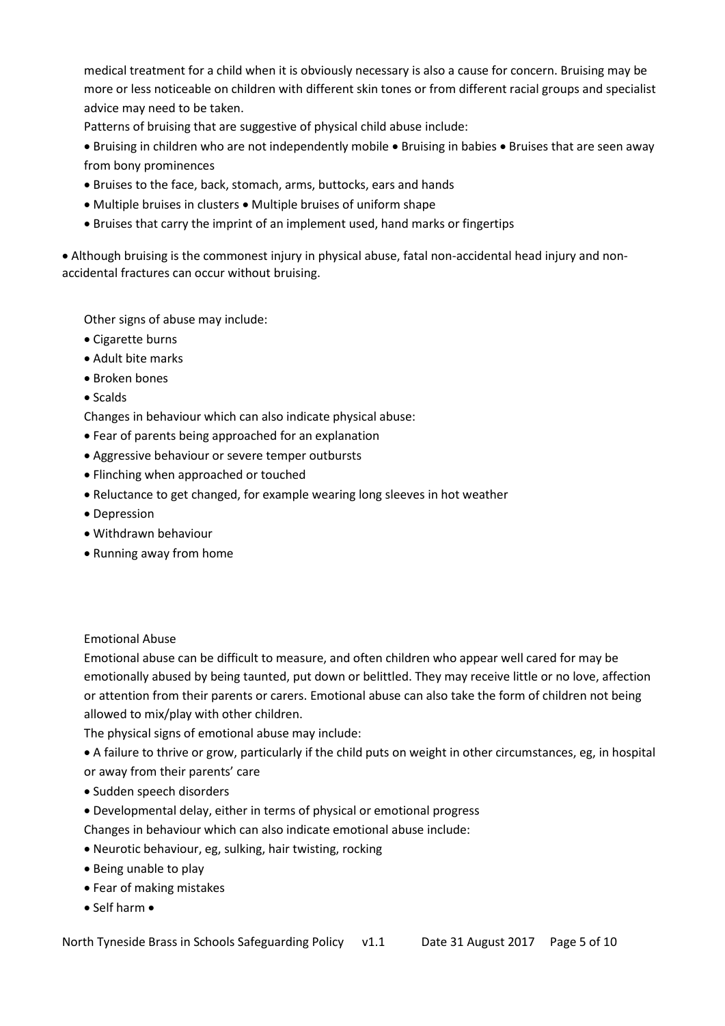medical treatment for a child when it is obviously necessary is also a cause for concern. Bruising may be more or less noticeable on children with different skin tones or from different racial groups and specialist advice may need to be taken.

Patterns of bruising that are suggestive of physical child abuse include:

• Bruising in children who are not independently mobile • Bruising in babies • Bruises that are seen away from bony prominences

- Bruises to the face, back, stomach, arms, buttocks, ears and hands
- Multiple bruises in clusters Multiple bruises of uniform shape
- Bruises that carry the imprint of an implement used, hand marks or fingertips

 Although bruising is the commonest injury in physical abuse, fatal non-accidental head injury and nonaccidental fractures can occur without bruising.

Other signs of abuse may include:

- Cigarette burns
- Adult bite marks
- Broken bones
- Scalds

Changes in behaviour which can also indicate physical abuse:

- Fear of parents being approached for an explanation
- Aggressive behaviour or severe temper outbursts
- Flinching when approached or touched
- Reluctance to get changed, for example wearing long sleeves in hot weather
- Depression
- Withdrawn behaviour
- Running away from home

#### Emotional Abuse

Emotional abuse can be difficult to measure, and often children who appear well cared for may be emotionally abused by being taunted, put down or belittled. They may receive little or no love, affection or attention from their parents or carers. Emotional abuse can also take the form of children not being allowed to mix/play with other children.

The physical signs of emotional abuse may include:

 A failure to thrive or grow, particularly if the child puts on weight in other circumstances, eg, in hospital or away from their parents' care

- Sudden speech disorders
- Developmental delay, either in terms of physical or emotional progress

Changes in behaviour which can also indicate emotional abuse include:

- Neurotic behaviour, eg, sulking, hair twisting, rocking
- Being unable to play
- Fear of making mistakes
- Self harm •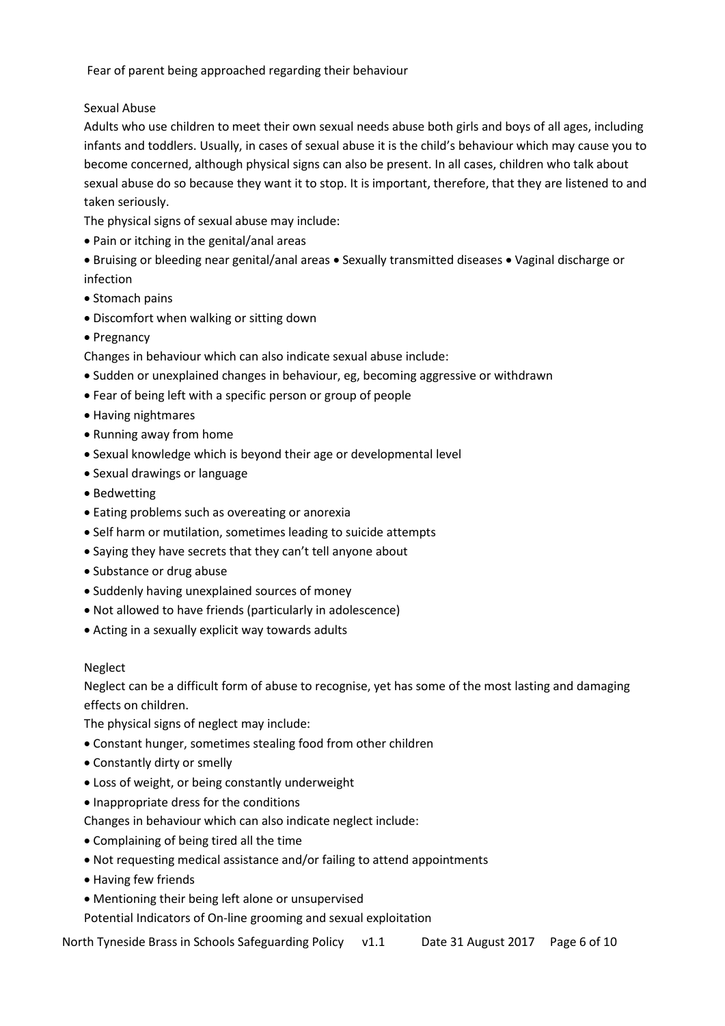Fear of parent being approached regarding their behaviour

## Sexual Abuse

Adults who use children to meet their own sexual needs abuse both girls and boys of all ages, including infants and toddlers. Usually, in cases of sexual abuse it is the child's behaviour which may cause you to become concerned, although physical signs can also be present. In all cases, children who talk about sexual abuse do so because they want it to stop. It is important, therefore, that they are listened to and taken seriously.

The physical signs of sexual abuse may include:

Pain or itching in the genital/anal areas

• Bruising or bleeding near genital/anal areas • Sexually transmitted diseases • Vaginal discharge or infection

- Stomach pains
- Discomfort when walking or sitting down
- Pregnancy

Changes in behaviour which can also indicate sexual abuse include:

- Sudden or unexplained changes in behaviour, eg, becoming aggressive or withdrawn
- Fear of being left with a specific person or group of people
- Having nightmares
- Running away from home
- Sexual knowledge which is beyond their age or developmental level
- Sexual drawings or language
- Bedwetting
- Eating problems such as overeating or anorexia
- Self harm or mutilation, sometimes leading to suicide attempts
- Saying they have secrets that they can't tell anyone about
- Substance or drug abuse
- Suddenly having unexplained sources of money
- Not allowed to have friends (particularly in adolescence)
- Acting in a sexually explicit way towards adults

## Neglect

Neglect can be a difficult form of abuse to recognise, yet has some of the most lasting and damaging effects on children.

The physical signs of neglect may include:

- Constant hunger, sometimes stealing food from other children
- Constantly dirty or smelly
- Loss of weight, or being constantly underweight
- Inappropriate dress for the conditions

Changes in behaviour which can also indicate neglect include:

- Complaining of being tired all the time
- Not requesting medical assistance and/or failing to attend appointments
- Having few friends
- Mentioning their being left alone or unsupervised

Potential Indicators of On-line grooming and sexual exploitation

North Tyneside Brass in Schools Safeguarding Policy v1.1 Date 31 August 2017 Page 6 of 10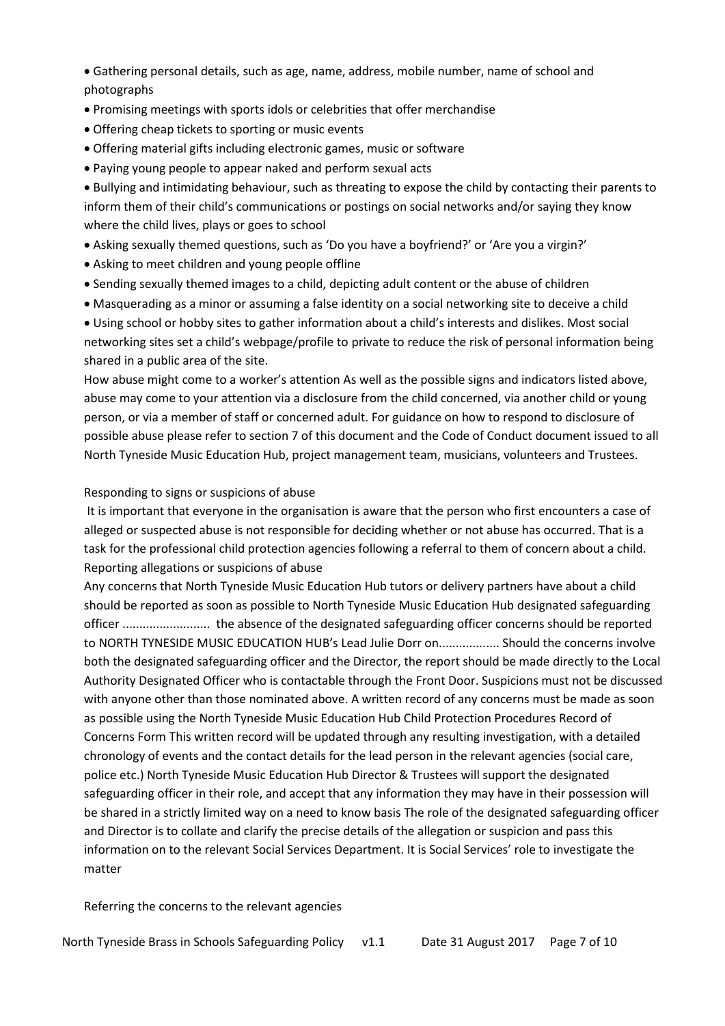Gathering personal details, such as age, name, address, mobile number, name of school and photographs

- Promising meetings with sports idols or celebrities that offer merchandise
- Offering cheap tickets to sporting or music events
- Offering material gifts including electronic games, music or software
- Paying young people to appear naked and perform sexual acts

 Bullying and intimidating behaviour, such as threating to expose the child by contacting their parents to inform them of their child's communications or postings on social networks and/or saying they know where the child lives, plays or goes to school

- Asking sexually themed questions, such as 'Do you have a boyfriend?' or 'Are you a virgin?'
- Asking to meet children and young people offline
- Sending sexually themed images to a child, depicting adult content or the abuse of children
- Masquerading as a minor or assuming a false identity on a social networking site to deceive a child

 Using school or hobby sites to gather information about a child's interests and dislikes. Most social networking sites set a child's webpage/profile to private to reduce the risk of personal information being shared in a public area of the site.

How abuse might come to a worker's attention As well as the possible signs and indicators listed above, abuse may come to your attention via a disclosure from the child concerned, via another child or young person, or via a member of staff or concerned adult. For guidance on how to respond to disclosure of possible abuse please refer to section 7 of this document and the Code of Conduct document issued to all North Tyneside Music Education Hub, project management team, musicians, volunteers and Trustees.

#### Responding to signs or suspicions of abuse

It is important that everyone in the organisation is aware that the person who first encounters a case of alleged or suspected abuse is not responsible for deciding whether or not abuse has occurred. That is a task for the professional child protection agencies following a referral to them of concern about a child. Reporting allegations or suspicions of abuse

Any concerns that North Tyneside Music Education Hub tutors or delivery partners have about a child should be reported as soon as possible to North Tyneside Music Education Hub designated safeguarding officer .......................... the absence of the designated safeguarding officer concerns should be reported to NORTH TYNESIDE MUSIC EDUCATION HUB's Lead Julie Dorr on.................. Should the concerns involve both the designated safeguarding officer and the Director, the report should be made directly to the Local Authority Designated Officer who is contactable through the Front Door. Suspicions must not be discussed with anyone other than those nominated above. A written record of any concerns must be made as soon as possible using the North Tyneside Music Education Hub Child Protection Procedures Record of Concerns Form This written record will be updated through any resulting investigation, with a detailed chronology of events and the contact details for the lead person in the relevant agencies (social care, police etc.) North Tyneside Music Education Hub Director & Trustees will support the designated safeguarding officer in their role, and accept that any information they may have in their possession will be shared in a strictly limited way on a need to know basis The role of the designated safeguarding officer and Director is to collate and clarify the precise details of the allegation or suspicion and pass this information on to the relevant Social Services Department. It is Social Services' role to investigate the matter

#### Referring the concerns to the relevant agencies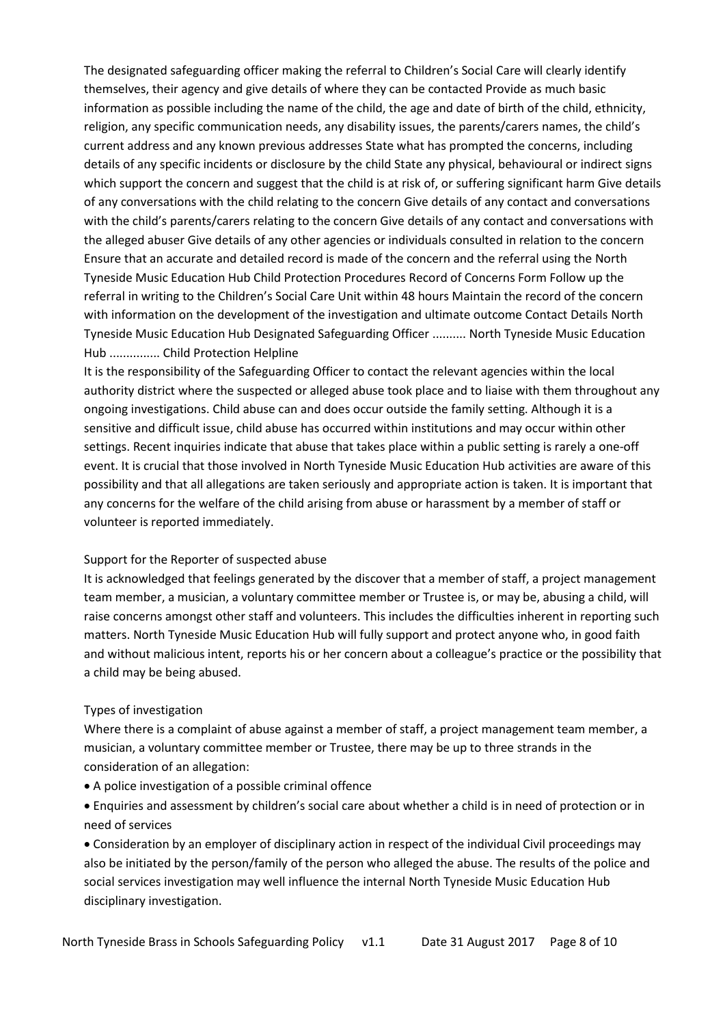The designated safeguarding officer making the referral to Children's Social Care will clearly identify themselves, their agency and give details of where they can be contacted Provide as much basic information as possible including the name of the child, the age and date of birth of the child, ethnicity, religion, any specific communication needs, any disability issues, the parents/carers names, the child's current address and any known previous addresses State what has prompted the concerns, including details of any specific incidents or disclosure by the child State any physical, behavioural or indirect signs which support the concern and suggest that the child is at risk of, or suffering significant harm Give details of any conversations with the child relating to the concern Give details of any contact and conversations with the child's parents/carers relating to the concern Give details of any contact and conversations with the alleged abuser Give details of any other agencies or individuals consulted in relation to the concern Ensure that an accurate and detailed record is made of the concern and the referral using the North Tyneside Music Education Hub Child Protection Procedures Record of Concerns Form Follow up the referral in writing to the Children's Social Care Unit within 48 hours Maintain the record of the concern with information on the development of the investigation and ultimate outcome Contact Details North Tyneside Music Education Hub Designated Safeguarding Officer .......... North Tyneside Music Education Hub ............... Child Protection Helpline

It is the responsibility of the Safeguarding Officer to contact the relevant agencies within the local authority district where the suspected or alleged abuse took place and to liaise with them throughout any ongoing investigations. Child abuse can and does occur outside the family setting. Although it is a sensitive and difficult issue, child abuse has occurred within institutions and may occur within other settings. Recent inquiries indicate that abuse that takes place within a public setting is rarely a one-off event. It is crucial that those involved in North Tyneside Music Education Hub activities are aware of this possibility and that all allegations are taken seriously and appropriate action is taken. It is important that any concerns for the welfare of the child arising from abuse or harassment by a member of staff or volunteer is reported immediately.

## Support for the Reporter of suspected abuse

It is acknowledged that feelings generated by the discover that a member of staff, a project management team member, a musician, a voluntary committee member or Trustee is, or may be, abusing a child, will raise concerns amongst other staff and volunteers. This includes the difficulties inherent in reporting such matters. North Tyneside Music Education Hub will fully support and protect anyone who, in good faith and without malicious intent, reports his or her concern about a colleague's practice or the possibility that a child may be being abused.

## Types of investigation

Where there is a complaint of abuse against a member of staff, a project management team member, a musician, a voluntary committee member or Trustee, there may be up to three strands in the consideration of an allegation:

- A police investigation of a possible criminal offence
- Enquiries and assessment by children's social care about whether a child is in need of protection or in need of services
- Consideration by an employer of disciplinary action in respect of the individual Civil proceedings may also be initiated by the person/family of the person who alleged the abuse. The results of the police and social services investigation may well influence the internal North Tyneside Music Education Hub disciplinary investigation.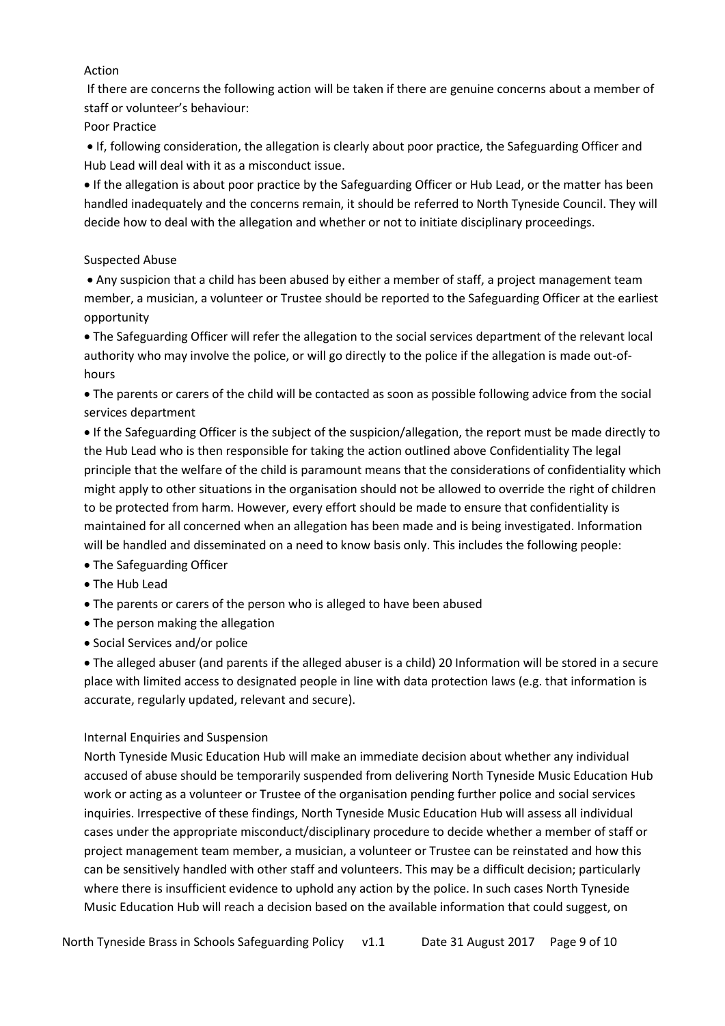#### Action

If there are concerns the following action will be taken if there are genuine concerns about a member of staff or volunteer's behaviour:

Poor Practice

 If, following consideration, the allegation is clearly about poor practice, the Safeguarding Officer and Hub Lead will deal with it as a misconduct issue.

 If the allegation is about poor practice by the Safeguarding Officer or Hub Lead, or the matter has been handled inadequately and the concerns remain, it should be referred to North Tyneside Council. They will decide how to deal with the allegation and whether or not to initiate disciplinary proceedings.

### Suspected Abuse

 Any suspicion that a child has been abused by either a member of staff, a project management team member, a musician, a volunteer or Trustee should be reported to the Safeguarding Officer at the earliest opportunity

 The Safeguarding Officer will refer the allegation to the social services department of the relevant local authority who may involve the police, or will go directly to the police if the allegation is made out-ofhours

 The parents or carers of the child will be contacted as soon as possible following advice from the social services department

 If the Safeguarding Officer is the subject of the suspicion/allegation, the report must be made directly to the Hub Lead who is then responsible for taking the action outlined above Confidentiality The legal principle that the welfare of the child is paramount means that the considerations of confidentiality which might apply to other situations in the organisation should not be allowed to override the right of children to be protected from harm. However, every effort should be made to ensure that confidentiality is maintained for all concerned when an allegation has been made and is being investigated. Information will be handled and disseminated on a need to know basis only. This includes the following people:

The Safeguarding Officer

- The Hub Lead
- The parents or carers of the person who is alleged to have been abused
- The person making the allegation
- Social Services and/or police

 The alleged abuser (and parents if the alleged abuser is a child) 20 Information will be stored in a secure place with limited access to designated people in line with data protection laws (e.g. that information is accurate, regularly updated, relevant and secure).

## Internal Enquiries and Suspension

North Tyneside Music Education Hub will make an immediate decision about whether any individual accused of abuse should be temporarily suspended from delivering North Tyneside Music Education Hub work or acting as a volunteer or Trustee of the organisation pending further police and social services inquiries. Irrespective of these findings, North Tyneside Music Education Hub will assess all individual cases under the appropriate misconduct/disciplinary procedure to decide whether a member of staff or project management team member, a musician, a volunteer or Trustee can be reinstated and how this can be sensitively handled with other staff and volunteers. This may be a difficult decision; particularly where there is insufficient evidence to uphold any action by the police. In such cases North Tyneside Music Education Hub will reach a decision based on the available information that could suggest, on